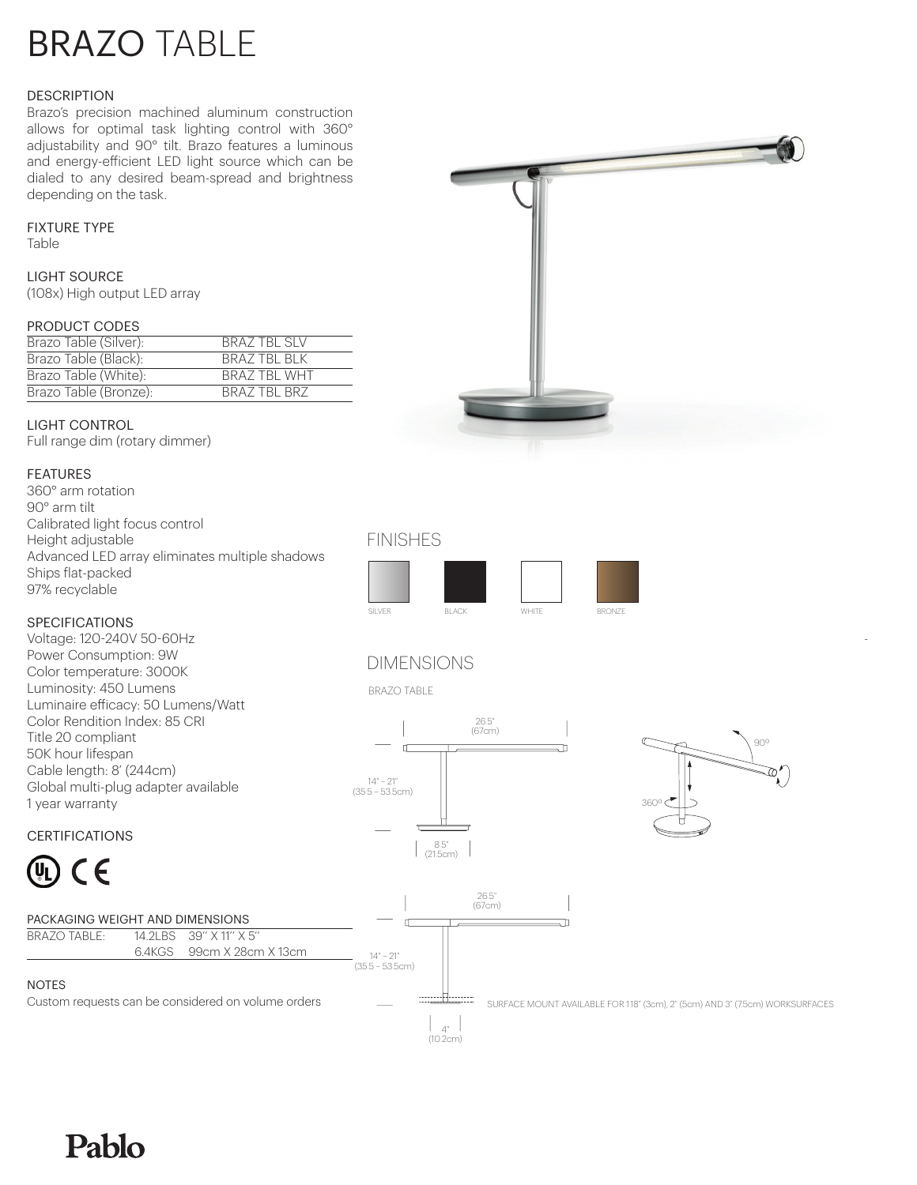# BRAZO TABLE

#### **DESCRIPTION**

Brazo's precision machined aluminum construction allows for optimal task lighting control with 360° adjustability and 90° tilt. Brazo features a luminous and energy-efficient LED light source which can be dialed to any desired beam-spread and brightness depending on the task.

## FIXTURE TYPE

Table

#### LIGHT SOURCE

(108x) High output LED array

#### PRODUCT CODES

| Brazo Table (Silver): | <b>BRAZ TBL SLV</b> |
|-----------------------|---------------------|
| Brazo Table (Black):  | BRAZ TBL BLK        |
| Brazo Table (White):  | <b>BRAZ TBL WHT</b> |
| Brazo Table (Bronze): | BRAZ TBL BRZ        |

# LIGHT CONTROL

Full range dim (rotary dimmer)

# FEATURES

360° arm rotation 90° arm tilt Calibrated light focus control Height adjustable Advanced LED array eliminates multiple shadows Ships flat-packed 97% recyclable

## SPECIFICATIONS





FINISHES



Pablo